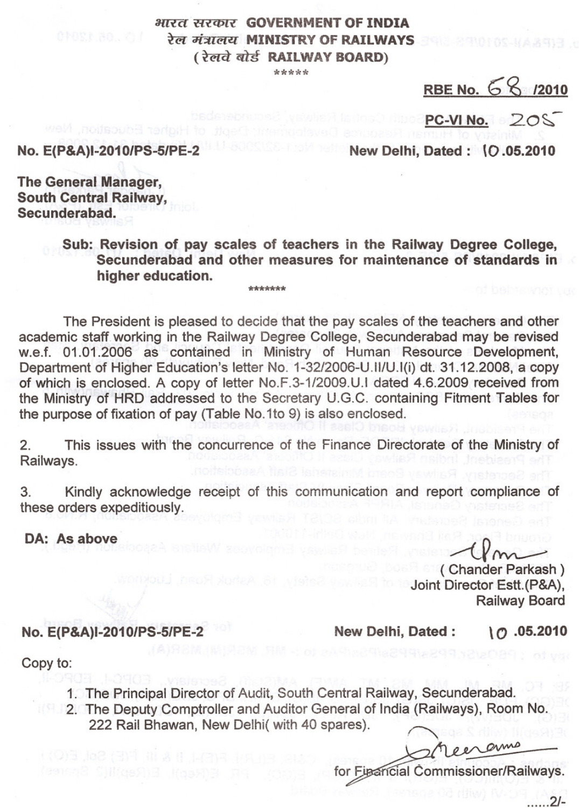## HIRE RIRGIN GOVERNMENT OF INDIA रे*ल मंत्रालय* MINISTRY OF RAILWAYS (रेलवे बोर्ड RAILWAY BOARD)

RBE No. 68 /2010

 $PC-VI$  No.  $20<sup>5</sup>$ 

No. E(P&A)I-2010/PS-5/PE-2

New Delhi, Dated: \0.05.2010

The General Manager, South Central Railway, Secunderabad.

> Sub: Revision of pay scales of teachers in the Railway Degree College, Secunderabad and other measures for maintenance of standards in higher education.

The President is pleased to decide that the pay scales of the teachers and other academic staff working in the Railway Degree College, Secunderabad may be revised w.e.f. 01.01.2006 as contained in Ministry of Human Resource Development, Department of Higher Education's letter No. 1-32/2006-U.II/U.I(i) dt. 31.12.2008, a copy of which is enclosed. A copy of letter NO.F.3-1/2009.U.1 dated 4.6.2009 received from the Ministry of HRD addressed to the Secretary U.G.C. containing Fitment Tables for the purpose of fixation of pay (Table No.1to 9) is also enclosed.

2. This issues with the concurrence of the Finance Directorate of the Ministry of Railways.

3. Kindly acknowledge receipt of this communication and report compliance of these orders expeditiously.

DA: As above

No. E(P&A)I-2010/PS-5/PE-2

 $\tau_{\text{on}}$ ( Chander Parkash)

Joint Director Estt.(P&A), Railway Board

New Delhi, Dated: \0 .05.2010

Copy to:

- 1. The Principal Director of Audit, South Central Railway, Secunderabad.
- 2. The Deputy Comptroller and Auditor General of India (Railways), Room No. 222 Rail Bhawan, New Delhi( with 40 spares).

for Figancial Commissioner/Railways.

 $21-$